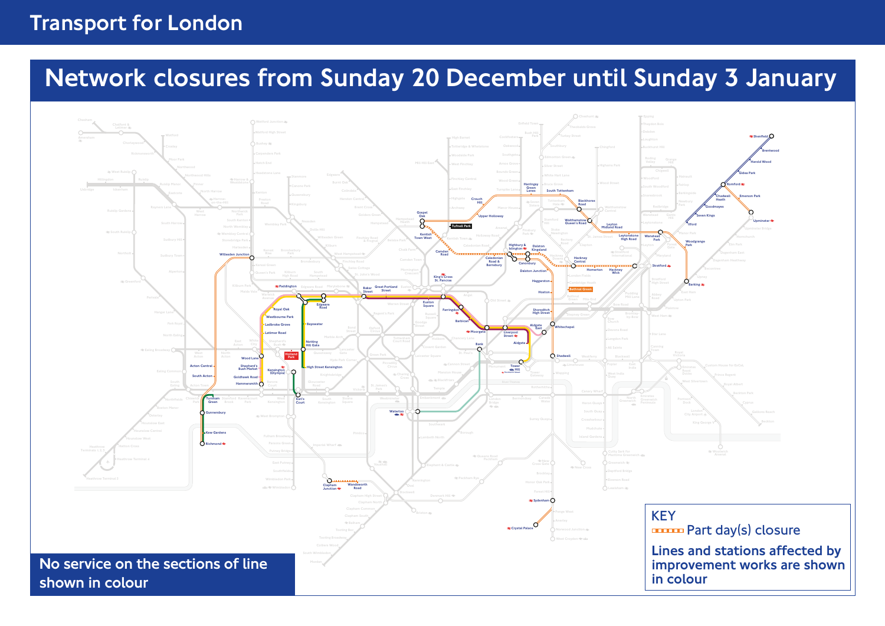## Transport for London

# Network closures from Sunday 20 December until Sunday 3 January

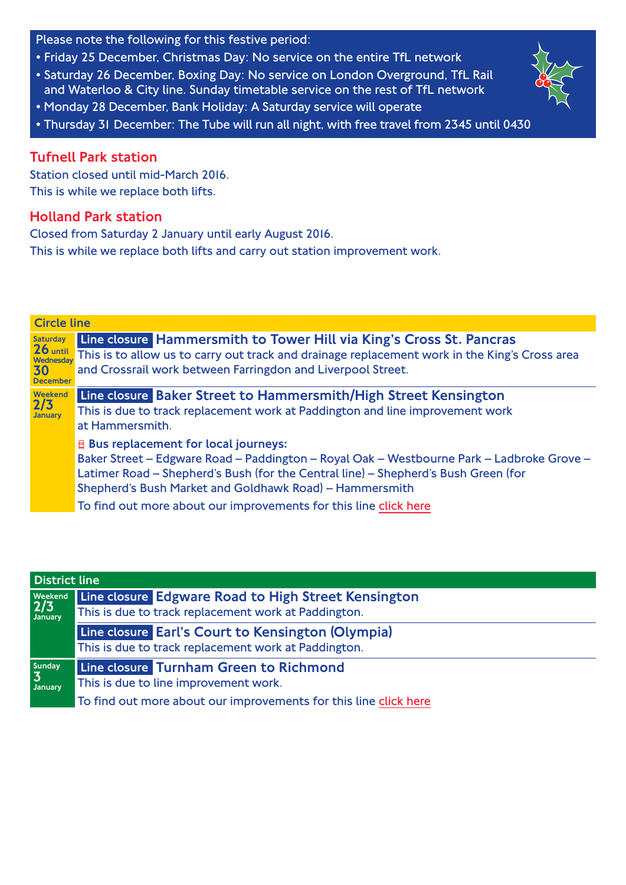Please note the following for this festive period:

- Friday 25 December, Christmas Day: No service on the entire TfL network
- Saturday 26 December, Boxing Day: No service on London Overground, TfL Rail and Waterloo & City line. Sunday timetable service on the rest of TfL network
- Monday 28 December, Bank Holiday: A Saturday service will operate
- Thursday 31 December: The Tube will run all night, with free travel from 2345 until 0430

#### Tufnell Park station

Station closed until mid-March 2016. This is while we replace both lifts.

#### Holland Park station

Closed from Saturday 2 January until early August 2016. This is while we replace both lifts and carry out station improvement work.

| <b>Circle line</b> |                                                                                                                                                                                                                                                                                                                                                                |
|--------------------|----------------------------------------------------------------------------------------------------------------------------------------------------------------------------------------------------------------------------------------------------------------------------------------------------------------------------------------------------------------|
| <b>Saturday</b>    | Line closure Hammersmith to Tower Hill via King's Cross St. Pancras                                                                                                                                                                                                                                                                                            |
| 30                 | This is to allow us to carry out track and drainage replacement work in the King's Cross area                                                                                                                                                                                                                                                                  |
| <b>December</b>    | and Crossrail work between Farringdon and Liverpool Street.                                                                                                                                                                                                                                                                                                    |
| Weekend            | Line closure Baker Street to Hammersmith/High Street Kensington                                                                                                                                                                                                                                                                                                |
| 2/3                | This is due to track replacement work at Paddington and line improvement work                                                                                                                                                                                                                                                                                  |
| January            | at Hammersmith.                                                                                                                                                                                                                                                                                                                                                |
|                    | <b>E</b> Bus replacement for local journeys:<br>Baker Street – Edgware Road – Paddington – Royal Oak – Westbourne Park – Ladbroke Grove –<br>Latimer Road - Shepherd's Bush (for the Central line) - Shepherd's Bush Green (for<br>Shepherd's Bush Market and Goldhawk Road) - Hammersmith<br>To find out more about our improvements for this line click here |

| <b>District line</b>       |                                                                  |
|----------------------------|------------------------------------------------------------------|
| <b>Weekend</b><br>2/3      | Line closure Edgware Road to High Street Kensington              |
|                            | This is due to track replacement work at Paddington.             |
|                            | Line closure Earl's Court to Kensington (Olympia)                |
|                            | This is due to track replacement work at Paddington.             |
| Sunday                     | Line closure Turnham Green to Richmond                           |
| $\vert 3 \vert$<br>January | This is due to line improvement work.                            |
|                            | To find out more about our improvements for this line click here |

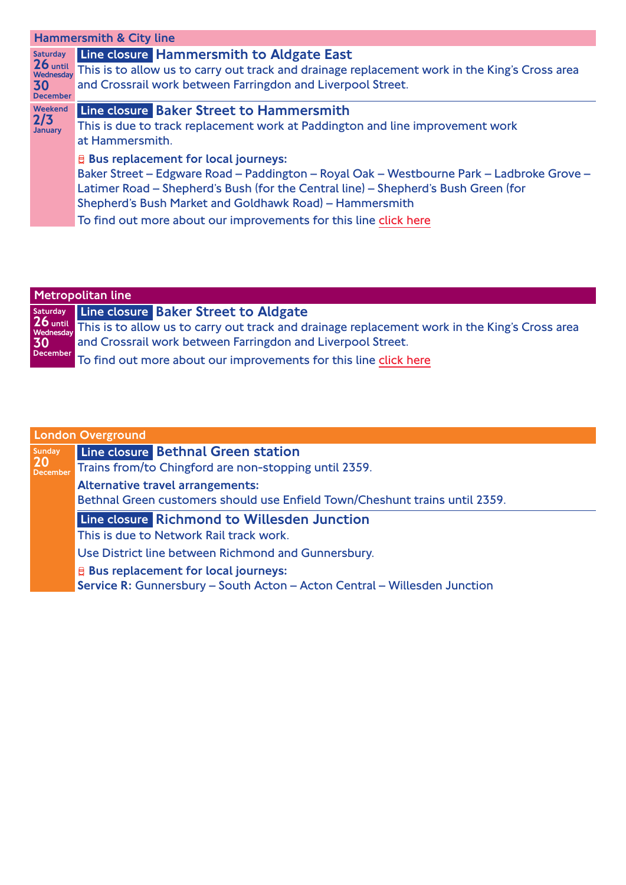| <b>Hammersmith &amp; City line</b>                                  |                                                                                                                                                                                                                                                                                                                                                                |  |
|---------------------------------------------------------------------|----------------------------------------------------------------------------------------------------------------------------------------------------------------------------------------------------------------------------------------------------------------------------------------------------------------------------------------------------------------|--|
| <b>Saturday</b><br>$26$ until<br>Wednesdav<br>30<br><b>December</b> | Line closure Hammersmith to Aldgate East<br>This is to allow us to carry out track and drainage replacement work in the King's Cross area<br>and Crossrail work between Farringdon and Liverpool Street.                                                                                                                                                       |  |
| Weekend<br>2/3<br><b>January</b>                                    | Line closure Baker Street to Hammersmith<br>This is due to track replacement work at Paddington and line improvement work<br>at Hammersmith.                                                                                                                                                                                                                   |  |
|                                                                     | <b>E</b> Bus replacement for local journeys:<br>Baker Street - Edgware Road - Paddington - Royal Oak - Westbourne Park - Ladbroke Grove -<br>Latimer Road - Shepherd's Bush (for the Central line) - Shepherd's Bush Green (for<br>Shepherd's Bush Market and Goldhawk Road) - Hammersmith<br>To find out more about our improvements for this line click here |  |
|                                                                     |                                                                                                                                                                                                                                                                                                                                                                |  |

| <b>Metropolitan line</b> |                                                                                                        |
|--------------------------|--------------------------------------------------------------------------------------------------------|
|                          | Saturday Line closure Baker Street to Aldgate                                                          |
| 30                       | 26 until This is to allow us to carry out track and drainage replacement work in the King's Cross area |
|                          | and Crossrail work between Farringdon and Liverpool Street.                                            |
| <b>December</b>          | To find out more about our improvements for this line click here                                       |

| <b>London Overground</b> |                                                                             |
|--------------------------|-----------------------------------------------------------------------------|
| Sunday<br>20<br>December | Line closure Bethnal Green station                                          |
|                          | Trains from/to Chingford are non-stopping until 2359.                       |
|                          | <b>Alternative travel arrangements:</b>                                     |
|                          | Bethnal Green customers should use Enfield Town/Cheshunt trains until 2359. |
|                          | Line closure Richmond to Willesden Junction                                 |
|                          | This is due to Network Rail track work.                                     |
|                          | Use District line between Richmond and Gunnersbury.                         |
|                          | <b>E</b> Bus replacement for local journeys:                                |
|                          | Service R: Gunnersbury - South Acton - Acton Central - Willesden Junction   |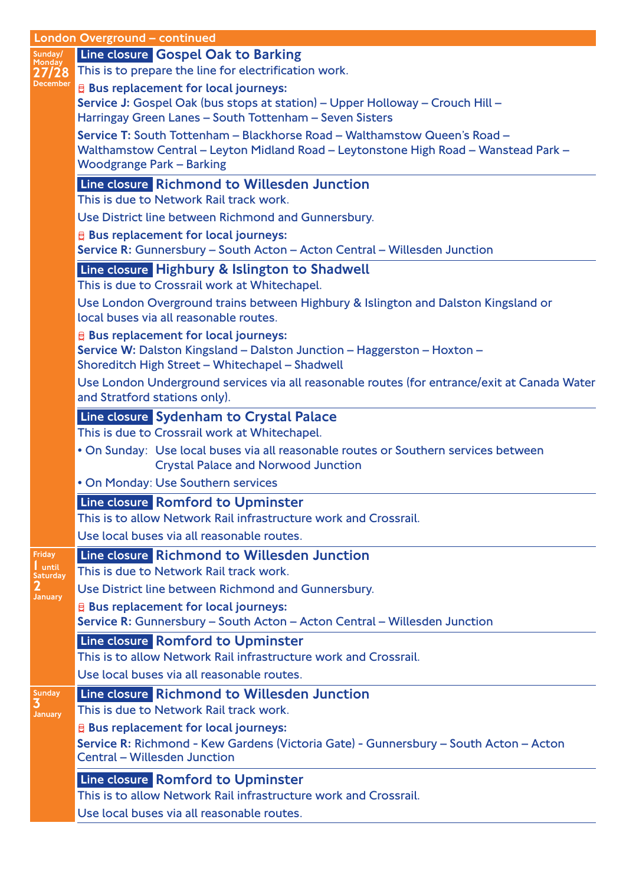|                               | <b>London Overground - continued</b>                                                                                              |
|-------------------------------|-----------------------------------------------------------------------------------------------------------------------------------|
| Sunday/<br>Monday<br>27/28    | Line closure Gospel Oak to Barking<br>This is to prepare the line for electrification work.                                       |
| December                      | <b>E</b> Bus replacement for local journeys:                                                                                      |
|                               | Service J: Gospel Oak (bus stops at station) - Upper Holloway - Crouch Hill -                                                     |
|                               | Harringay Green Lanes - South Tottenham - Seven Sisters                                                                           |
|                               | Service T: South Tottenham - Blackhorse Road - Walthamstow Queen's Road -                                                         |
|                               | Walthamstow Central - Leyton Midland Road - Leytonstone High Road - Wanstead Park -                                               |
|                               | <b>Woodgrange Park - Barking</b>                                                                                                  |
|                               | Line closure Richmond to Willesden Junction                                                                                       |
|                               | This is due to Network Rail track work.                                                                                           |
|                               | Use District line between Richmond and Gunnersbury.                                                                               |
|                               | <b>E</b> Bus replacement for local journeys:                                                                                      |
|                               | Service R: Gunnersbury - South Acton - Acton Central - Willesden Junction                                                         |
|                               | Line closure Highbury & Islington to Shadwell                                                                                     |
|                               | This is due to Crossrail work at Whitechapel.                                                                                     |
|                               | Use London Overground trains between Highbury & Islington and Dalston Kingsland or                                                |
|                               | local buses via all reasonable routes.                                                                                            |
|                               | <b>E</b> Bus replacement for local journeys:                                                                                      |
|                               | Service W: Dalston Kingsland - Dalston Junction - Haggerston - Hoxton -                                                           |
|                               | Shoreditch High Street - Whitechapel - Shadwell                                                                                   |
|                               | Use London Underground services via all reasonable routes (for entrance/exit at Canada Water                                      |
|                               | and Stratford stations only).                                                                                                     |
|                               | Line closure Sydenham to Crystal Palace                                                                                           |
|                               | This is due to Crossrail work at Whitechapel.                                                                                     |
|                               | . On Sunday: Use local buses via all reasonable routes or Southern services between<br><b>Crystal Palace and Norwood Junction</b> |
|                               | . On Monday: Use Southern services                                                                                                |
|                               | Line closure Romford to Upminster                                                                                                 |
|                               | This is to allow Network Rail infrastructure work and Crossrail.                                                                  |
|                               | Use local buses via all reasonable routes.                                                                                        |
| <b>Friday</b>                 | Line closure Richmond to Willesden Junction                                                                                       |
| until                         | This is due to Network Rail track work.                                                                                           |
| Saturday<br>$\mathbf 2$       | Use District line between Richmond and Gunnersbury.                                                                               |
| <b>January</b>                | <b>E</b> Bus replacement for local journeys:                                                                                      |
|                               | Service R: Gunnersbury - South Acton - Acton Central - Willesden Junction                                                         |
|                               | Line closure Romford to Upminster                                                                                                 |
|                               | This is to allow Network Rail infrastructure work and Crossrail.                                                                  |
|                               | Use local buses via all reasonable routes.                                                                                        |
|                               | Line closure Richmond to Willesden Junction                                                                                       |
| Sunday<br>3<br><b>January</b> | This is due to Network Rail track work.                                                                                           |
|                               | <b>E</b> Bus replacement for local journeys:                                                                                      |
|                               | Service R: Richmond - Kew Gardens (Victoria Gate) - Gunnersbury - South Acton - Acton                                             |
|                               | <b>Central - Willesden Junction</b>                                                                                               |
|                               | Line closure Romford to Upminster                                                                                                 |
|                               | This is to allow Network Rail infrastructure work and Crossrail.                                                                  |
|                               | Use local buses via all reasonable routes.                                                                                        |